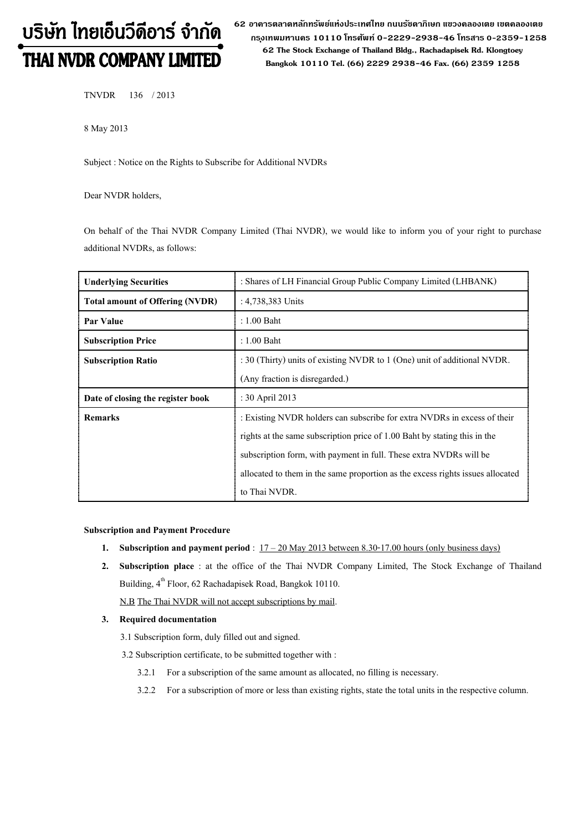# บริษัท ไทยเอ็นวีดีอาร์ จำกัด THAI NVDR COMPANY LIMITED

**62 อาคารตลาดหลักทรัพย์แห่งประเทศไทย ถนนรัชดาภิเษก แขวงคลองเตย เขตคลองเตย กร ุงเทพมหานคร 10110 โทรศัพท์0-2229-2938-46 โทรสาร 0-2359-1258 62 The Stock Exchange of Thailand Bldg., Rachadapisek Rd. Klongtoey Bangkok 10110 Tel. (66) 2229 2938-46 Fax. (66) 2359 1258**

TNVDR 136/ 2013

8 May 2013

Subject : Notice on the Rights to Subscribe for Additional NVDRs

Dear NVDR holders,

On behalf of the Thai NVDR Company Limited (Thai NVDR), we would like to inform you of your right to purchase additional NVDRs, as follows:

| <b>Underlying Securities</b>           | : Shares of LH Financial Group Public Company Limited (LHBANK)                 |  |  |
|----------------------------------------|--------------------------------------------------------------------------------|--|--|
| <b>Total amount of Offering (NVDR)</b> | : 4,738,383 Units                                                              |  |  |
| <b>Par Value</b>                       | $: 1.00$ Baht                                                                  |  |  |
| <b>Subscription Price</b>              | $: 1.00$ Baht                                                                  |  |  |
| <b>Subscription Ratio</b>              | : 30 (Thirty) units of existing NVDR to 1 (One) unit of additional NVDR.       |  |  |
|                                        | (Any fraction is disregarded.)                                                 |  |  |
| Date of closing the register book      | : 30 April 2013                                                                |  |  |
| <b>Remarks</b>                         | : Existing NVDR holders can subscribe for extra NVDRs in excess of their       |  |  |
|                                        | rights at the same subscription price of 1.00 Baht by stating this in the      |  |  |
|                                        | subscription form, with payment in full. These extra NVDRs will be             |  |  |
|                                        | allocated to them in the same proportion as the excess rights issues allocated |  |  |
|                                        | to Thai NVDR.                                                                  |  |  |

### **Subscription and Payment Procedure**

- **1. Subscription and payment period**: 17 20 May 2013 between 8.30-17.00 hours (only business days)
- **2. Subscription place** : at the office of the Thai NVDR Company Limited, The Stock Exchange of Thailand Building, 4<sup>th</sup> Floor, 62 Rachadapisek Road, Bangkok 10110.

N.B The Thai NVDR will not accept subscriptions by mail.

## **3. Required documentation**

- 3.1 Subscription form, duly filled out and signed.
- 3.2 Subscription certificate, to be submitted together with :
	- 3.2.1 For a subscription of the same amount as allocated, no filling is necessary.
	- 3.2.2 For a subscription of more or less than existing rights, state the total units in the respective column.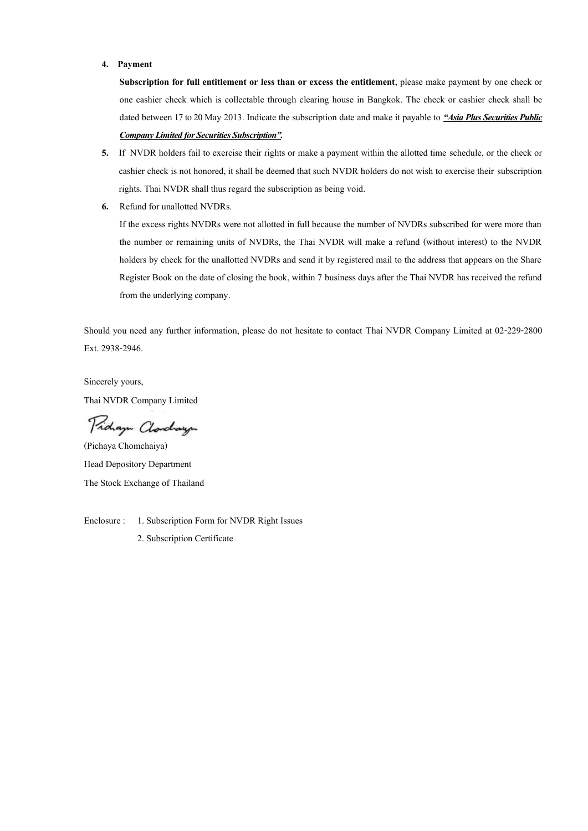#### **4. Payment**

**Subscription for full entitlement or less than or excess the entitlement**, please make payment by one check or one cashier check which is collectable through clearing house in Bangkok. The check or cashier check shall be dated between 17 to 20 May 2013. Indicate the subscription date and make it payable to *"Asia Plus Securities Public Company Limited for Securities Subscription".*

- **5.** If NVDR holders fail to exercise their rights or make a payment within the allotted time schedule, or the check or cashier check is not honored, it shall be deemed that such NVDR holders do not wish to exercise their subscription rights. Thai NVDR shall thus regard the subscription as being void.
- **6.** Refund for unallotted NVDRs.

If the excess rights NVDRs were not allotted in full because the number of NVDRs subscribed for were more than the number or remaining units of NVDRs, the Thai NVDR will make a refund (without interest) to the NVDR holders by check for the unallotted NVDRs and send it by registered mail to the address that appears on the Share Register Book on the date of closing the book, within 7 business days after the Thai NVDR has received the refund from the underlying company.

Should you need any further information, please do not hesitate to contact Thai NVDR Company Limited at 02-229-2800 Ext. 2938-2946.

Sincerely yours, Thai NVDR Company Limited

Pidaya Clorchaya

(Pichaya Chomchaiya) Head Depository [Department](http://dict.longdo.com/search/department) The Stock Exchange of Thailand

Enclosure : 1. Subscription Form for NVDR Right Issues

2. Subscription Certificate